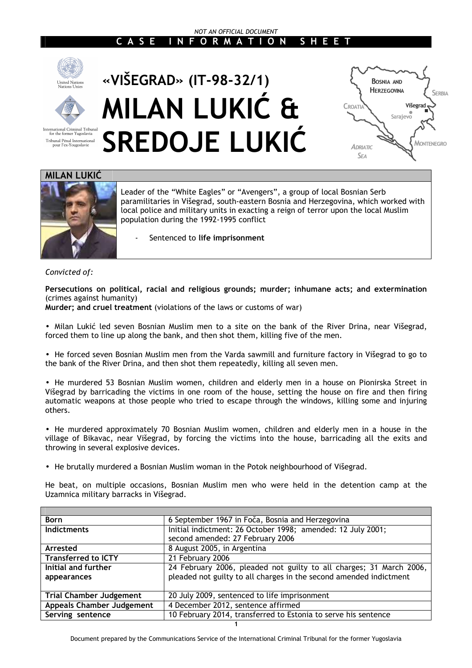#### *NOT AN OFFICIAL DOCUMENT*  **C A S E I N F O R M A T I O N S H E E T**



# **«VIŠEGRAD» (IT-98-32/1) MILAN LUKIĆ & SREDOJE LUKIĆ**



#### **MILAN LUKIĆ**

International Criminal Tribunal<br>for the former Yugoslavia Tribunal Pénal International<br>pour l'ex-Yougoslavie



Leader of the "White Eagles" or "Avengers", a group of local Bosnian Serb paramilitaries in Višegrad, south-eastern Bosnia and Herzegovina, which worked with local police and military units in exacting a reign of terror upon the local Muslim population during the 1992-1995 conflict

- Sentenced to **life imprisonment** 

#### *Convicted of:*

**Persecutions on political, racial and religious grounds; murder; inhumane acts; and extermination** (crimes against humanity)

**Murder; and cruel treatment** (violations of the laws or customs of war)

• Milan Lukić led seven Bosnian Muslim men to a site on the bank of the River Drina, near Višegrad, forced them to line up along the bank, and then shot them, killing five of the men.

• He forced seven Bosnian Muslim men from the Varda sawmill and furniture factory in Višegrad to go to the bank of the River Drina, and then shot them repeatedly, killing all seven men.

• He murdered 53 Bosnian Muslim women, children and elderly men in a house on Pionirska Street in Višegrad by barricading the victims in one room of the house, setting the house on fire and then firing automatic weapons at those people who tried to escape through the windows, killing some and injuring others.

• He murdered approximately 70 Bosnian Muslim women, children and elderly men in a house in the village of Bikavac, near Višegrad, by forcing the victims into the house, barricading all the exits and throwing in several explosive devices.

• He brutally murdered a Bosnian Muslim woman in the Potok neighbourhood of Višegrad.

He beat, on multiple occasions, Bosnian Muslim men who were held in the detention camp at the Uzamnica military barracks in Višegrad.

| <b>Born</b>                      | 6 September 1967 in Foča, Bosnia and Herzegovina                    |
|----------------------------------|---------------------------------------------------------------------|
| <b>Indictments</b>               | Initial indictment: 26 October 1998; amended: 12 July 2001;         |
|                                  | second amended: 27 February 2006                                    |
| Arrested                         | 8 August 2005, in Argentina                                         |
| <b>Transferred to ICTY</b>       | 21 February 2006                                                    |
| Initial and further              | 24 February 2006, pleaded not guilty to all charges; 31 March 2006, |
| appearances                      | pleaded not guilty to all charges in the second amended indictment  |
|                                  |                                                                     |
| <b>Trial Chamber Judgement</b>   | 20 July 2009, sentenced to life imprisonment                        |
| <b>Appeals Chamber Judgement</b> | 4 December 2012, sentence affirmed                                  |
| Serving sentence                 | 10 February 2014, transferred to Estonia to serve his sentence      |
|                                  |                                                                     |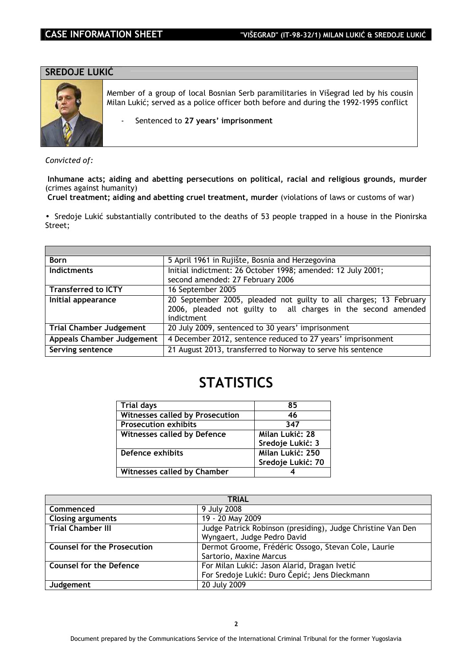#### **SREDOJE LUKIĆ**



Member of a group of local Bosnian Serb paramilitaries in Višegrad led by his cousin Milan Lukić; served as a police officer both before and during the 1992-1995 conflict

- Sentenced to **27 years' imprisonment** 

*Convicted of:* 

 **Inhumane acts; aiding and abetting persecutions on political, racial and religious grounds, murder** (crimes against humanity)

 **Cruel treatment; aiding and abetting cruel treatment, murder** (violations of laws or customs of war)

• Sredoje Lukić substantially contributed to the deaths of 53 people trapped in a house in the Pionirska Street;

| <b>Born</b>                      | 5 April 1961 in Rujište, Bosnia and Herzegovina                   |  |
|----------------------------------|-------------------------------------------------------------------|--|
| <b>Indictments</b>               | Initial indictment: 26 October 1998; amended: 12 July 2001;       |  |
|                                  | second amended: 27 February 2006                                  |  |
| <b>Transferred to ICTY</b>       | 16 September 2005                                                 |  |
| Initial appearance               | 20 September 2005, pleaded not guilty to all charges; 13 February |  |
|                                  | 2006, pleaded not guilty to all charges in the second amended     |  |
|                                  | indictment                                                        |  |
| <b>Trial Chamber Judgement</b>   | 20 July 2009, sentenced to 30 years' imprisonment                 |  |
| <b>Appeals Chamber Judgement</b> | 4 December 2012, sentence reduced to 27 years' imprisonment       |  |
| Serving sentence                 | 21 August 2013, transferred to Norway to serve his sentence       |  |

### **STATISTICS**

| <b>Trial days</b>                      | 85                |
|----------------------------------------|-------------------|
| <b>Witnesses called by Prosecution</b> | 46                |
| <b>Prosecution exhibits</b>            | 347               |
| Witnesses called by Defence            | Milan Lukic: 28   |
|                                        | Sredoje Lukić: 3  |
| Defence exhibits                       | Milan Lukic: 250  |
|                                        | Sredoje Lukić: 70 |
| <b>Witnesses called by Chamber</b>     |                   |

| <b>TRIAL</b>                       |                                                             |  |
|------------------------------------|-------------------------------------------------------------|--|
| Commenced                          | 9 July 2008                                                 |  |
| <b>Closing arguments</b>           | 19 - 20 May 2009                                            |  |
| <b>Trial Chamber III</b>           | Judge Patrick Robinson (presiding), Judge Christine Van Den |  |
|                                    | Wyngaert, Judge Pedro David                                 |  |
| <b>Counsel for the Prosecution</b> | Dermot Groome, Frédéric Ossogo, Stevan Cole, Laurie         |  |
|                                    | Sartorio, Maxine Marcus                                     |  |
| <b>Counsel for the Defence</b>     | For Milan Lukić: Jason Alarid, Dragan Ivetić                |  |
|                                    | For Sredoje Lukić: Đuro Čepić; Jens Dieckmann               |  |
| Judgement                          | 20 July 2009                                                |  |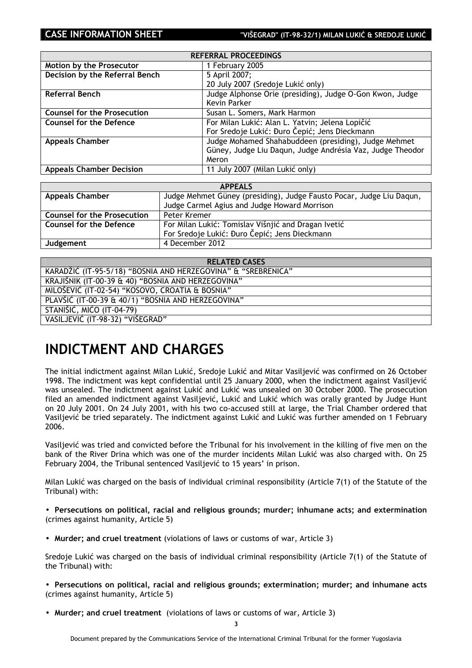| <b>REFERRAL PROCEEDINGS</b>        |                                                           |  |
|------------------------------------|-----------------------------------------------------------|--|
| Motion by the Prosecutor           | 1 February 2005                                           |  |
| Decision by the Referral Bench     | 5 April 2007;                                             |  |
|                                    | 20 July 2007 (Sredoje Lukić only)                         |  |
| <b>Referral Bench</b>              | Judge Alphonse Orie (presiding), Judge O-Gon Kwon, Judge  |  |
|                                    | Kevin Parker                                              |  |
| <b>Counsel for the Prosecution</b> | Susan L. Somers, Mark Harmon                              |  |
| <b>Counsel for the Defence</b>     | For Milan Lukić: Alan L. Yatvin; Jelena Lopičić           |  |
|                                    | For Sredoje Lukić: Đuro Čepić; Jens Dieckmann             |  |
| <b>Appeals Chamber</b>             | Judge Mohamed Shahabuddeen (presiding), Judge Mehmet      |  |
|                                    | Güney, Judge Liu Daqun, Judge Andrésia Vaz, Judge Theodor |  |
|                                    | Meron                                                     |  |
| <b>Appeals Chamber Decision</b>    | 11 July 2007 (Milan Lukić only)                           |  |

| <b>APPEALS</b>                     |                                                                      |  |
|------------------------------------|----------------------------------------------------------------------|--|
| <b>Appeals Chamber</b>             | Judge Mehmet Güney (presiding), Judge Fausto Pocar, Judge Liu Daqun, |  |
|                                    | Judge Carmel Agius and Judge Howard Morrison                         |  |
| <b>Counsel for the Prosecution</b> | Peter Kremer                                                         |  |
| <b>Counsel for the Defence</b>     | For Milan Lukić: Tomislav Višnjić and Dragan Ivetić                  |  |
|                                    | For Sredoje Lukić: Đuro Čepić; Jens Dieckmann                        |  |
| Judgement                          | 4 December 2012                                                      |  |

| <b>RELATED CASES</b>                                          |
|---------------------------------------------------------------|
| KARADŽIĆ (IT-95-5/18) "BOSNIA AND HERZEGOVINA" & "SREBRENICA" |
| KRAJIŠNIK (IT-00-39 & 40) "BOSNIA AND HERZEGOVINA"            |
| MILOŠEVIĆ (IT-02-54) "KOSOVO, CROATIA & BOSNIA"               |
| PLAVŠIĆ (IT-00-39 & 40/1) "BOSNIA AND HERZEGOVINA"            |
| <b>STANIŠIĆ, MIĆO (IT-04-79)</b>                              |
| VASILJEVIĆ (IT-98-32) "VIŠEGRAD"                              |

### **INDICTMENT AND CHARGES**

The initial indictment against Milan Lukić, Sredoje Lukić and Mitar Vasiljević was confirmed on 26 October 1998. The indictment was kept confidential until 25 January 2000, when the indictment against Vasiljević was unsealed. The indictment against Lukić and Lukić was unsealed on 30 October 2000. The prosecution filed an amended indictment against Vasiljević, Lukić and Lukić which was orally granted by Judge Hunt on 20 July 2001. On 24 July 2001, with his two co-accused still at large, the Trial Chamber ordered that Vasiljević be tried separately. The indictment against Lukić and Lukić was further amended on 1 February 2006.

Vasiljević was tried and convicted before the Tribunal for his involvement in the killing of five men on the bank of the River Drina which was one of the murder incidents Milan Lukić was also charged with. On 25 February 2004, the Tribunal sentenced Vasiljević to 15 years' in prison.

Milan Lukić was charged on the basis of individual criminal responsibility (Article 7(1) of the Statute of the Tribunal) with:

• **Persecutions on political, racial and religious grounds; murder; inhumane acts; and extermination** (crimes against humanity, Article 5)

• **Murder; and cruel treatment** (violations of laws or customs of war, Article 3)

Sredoje Lukić was charged on the basis of individual criminal responsibility (Article 7(1) of the Statute of the Tribunal) with:

- **Persecutions on political, racial and religious grounds; extermination; murder; and inhumane acts** (crimes against humanity, Article 5)
- **Murder; and cruel treatment** (violations of laws or customs of war, Article 3)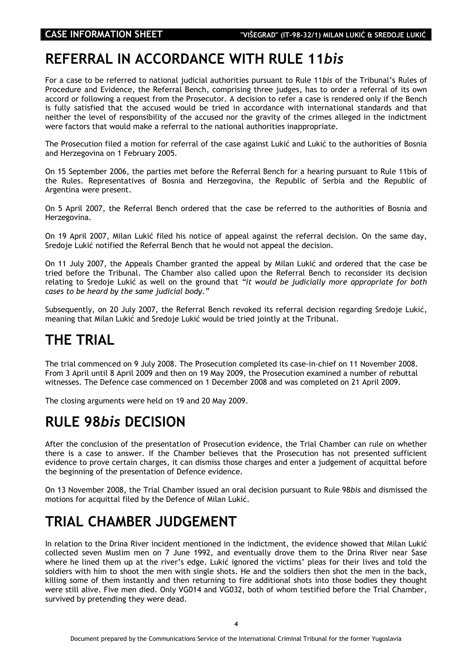## **REFERRAL IN ACCORDANCE WITH RULE 11***bis*

For a case to be referred to national judicial authorities pursuant to Rule 11*bis* of the Tribunal's Rules of Procedure and Evidence, the Referral Bench, comprising three judges, has to order a referral of its own accord or following a request from the Prosecutor. A decision to refer a case is rendered only if the Bench is fully satisfied that the accused would be tried in accordance with international standards and that neither the level of responsibility of the accused nor the gravity of the crimes alleged in the indictment were factors that would make a referral to the national authorities inappropriate.

The Prosecution filed a motion for referral of the case against Lukić and Lukić to the authorities of Bosnia and Herzegovina on 1 February 2005.

On 15 September 2006, the parties met before the Referral Bench for a hearing pursuant to Rule 11bis of the Rules. Representatives of Bosnia and Herzegovina, the Republic of Serbia and the Republic of Argentina were present.

On 5 April 2007, the Referral Bench ordered that the case be referred to the authorities of Bosnia and Herzegovina.

On 19 April 2007, Milan Lukić filed his notice of appeal against the referral decision. On the same day, Sredoje Lukić notified the Referral Bench that he would not appeal the decision.

On 11 July 2007, the Appeals Chamber granted the appeal by Milan Lukić and ordered that the case be tried before the Tribunal. The Chamber also called upon the Referral Bench to reconsider its decision relating to Sredoje Lukić as well on the ground that *"it would be judicially more appropriate for both cases to be heard by the same judicial body."* 

Subsequently, on 20 July 2007, the Referral Bench revoked its referral decision regarding Sredoje Lukić, meaning that Milan Lukić and Sredoje Lukić would be tried jointly at the Tribunal.

## **THE TRIAL**

The trial commenced on 9 July 2008. The Prosecution completed its case-in-chief on 11 November 2008. From 3 April until 8 April 2009 and then on 19 May 2009, the Prosecution examined a number of rebuttal witnesses. The Defence case commenced on 1 December 2008 and was completed on 21 April 2009.

The closing arguments were held on 19 and 20 May 2009.

### **RULE 98***bis* **DECISION**

After the conclusion of the presentation of Prosecution evidence, the Trial Chamber can rule on whether there is a case to answer. If the Chamber believes that the Prosecution has not presented sufficient evidence to prove certain charges, it can dismiss those charges and enter a judgement of acquittal before the beginning of the presentation of Defence evidence.

On 13 November 2008, the Trial Chamber issued an oral decision pursuant to Rule 98*bis* and dismissed the motions for acquittal filed by the Defence of Milan Lukić.

## **TRIAL CHAMBER JUDGEMENT**

In relation to the Drina River incident mentioned in the indictment, the evidence showed that Milan Lukić collected seven Muslim men on 7 June 1992, and eventually drove them to the Drina River near Sase where he lined them up at the river's edge. Lukić ignored the victims' pleas for their lives and told the soldiers with him to shoot the men with single shots. He and the soldiers then shot the men in the back, killing some of them instantly and then returning to fire additional shots into those bodies they thought were still alive. Five men died. Only VG014 and VG032, both of whom testified before the Trial Chamber, survived by pretending they were dead.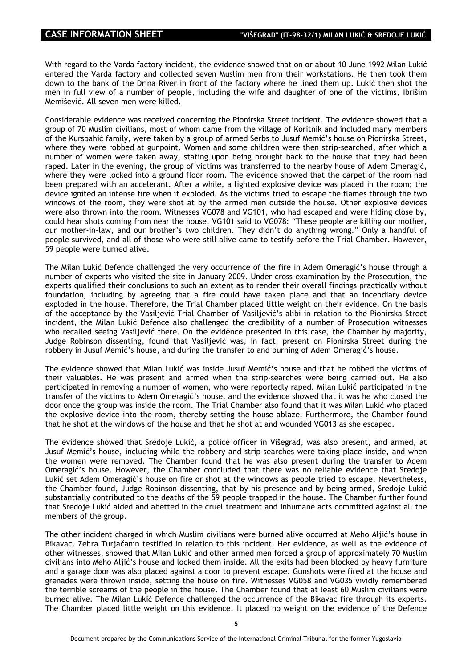With regard to the Varda factory incident, the evidence showed that on or about 10 June 1992 Milan Lukić entered the Varda factory and collected seven Muslim men from their workstations. He then took them down to the bank of the Drina River in front of the factory where he lined them up. Lukić then shot the men in full view of a number of people, including the wife and daughter of one of the victims, Ibrišim Memišević. All seven men were killed.

Considerable evidence was received concerning the Pionirska Street incident. The evidence showed that a group of 70 Muslim civilians, most of whom came from the village of Koritnik and included many members of the Kurspahić family, were taken by a group of armed Serbs to Jusuf Memić's house on Pionirska Street, where they were robbed at gunpoint. Women and some children were then strip-searched, after which a number of women were taken away, stating upon being brought back to the house that they had been raped. Later in the evening, the group of victims was transferred to the nearby house of Adem Omeragić, where they were locked into a ground floor room. The evidence showed that the carpet of the room had been prepared with an accelerant. After a while, a lighted explosive device was placed in the room; the device ignited an intense fire when it exploded. As the victims tried to escape the flames through the two windows of the room, they were shot at by the armed men outside the house. Other explosive devices were also thrown into the room. Witnesses VG078 and VG101, who had escaped and were hiding close by, could hear shots coming from near the house. VG101 said to VG078: "These people are killing our mother, our mother-in-law, and our brother's two children. They didn't do anything wrong." Only a handful of people survived, and all of those who were still alive came to testify before the Trial Chamber. However, 59 people were burned alive.

The Milan Lukić Defence challenged the very occurrence of the fire in Adem Omeragić's house through a number of experts who visited the site in January 2009. Under cross-examination by the Prosecution, the experts qualified their conclusions to such an extent as to render their overall findings practically without foundation, including by agreeing that a fire could have taken place and that an incendiary device exploded in the house. Therefore, the Trial Chamber placed little weight on their evidence. On the basis of the acceptance by the Vasiljević Trial Chamber of Vasiljević's alibi in relation to the Pionirska Street incident, the Milan Lukić Defence also challenged the credibility of a number of Prosecution witnesses who recalled seeing Vasiljević there. On the evidence presented in this case, the Chamber by majority, Judge Robinson dissenting, found that Vasiljević was, in fact, present on Pionirska Street during the robbery in Jusuf Memić's house, and during the transfer to and burning of Adem Omeragić's house.

The evidence showed that Milan Lukić was inside Jusuf Memić's house and that he robbed the victims of their valuables. He was present and armed when the strip-searches were being carried out. He also participated in removing a number of women, who were reportedly raped. Milan Lukić participated in the transfer of the victims to Adem Omeragić's house, and the evidence showed that it was he who closed the door once the group was inside the room. The Trial Chamber also found that it was Milan Lukić who placed the explosive device into the room, thereby setting the house ablaze. Furthermore, the Chamber found that he shot at the windows of the house and that he shot at and wounded VG013 as she escaped.

The evidence showed that Sredoje Lukić, a police officer in Višegrad, was also present, and armed, at Jusuf Memić's house, including while the robbery and strip-searches were taking place inside, and when the women were removed. The Chamber found that he was also present during the transfer to Adem Omeragić's house. However, the Chamber concluded that there was no reliable evidence that Sredoje Lukić set Adem Omeragić's house on fire or shot at the windows as people tried to escape. Nevertheless, the Chamber found, Judge Robinson dissenting, that by his presence and by being armed, Sredoje Lukić substantially contributed to the deaths of the 59 people trapped in the house. The Chamber further found that Sredoje Lukić aided and abetted in the cruel treatment and inhumane acts committed against all the members of the group.

The other incident charged in which Muslim civilians were burned alive occurred at Meho Aljić's house in Bikavac. Zehra Turjačanin testified in relation to this incident. Her evidence, as well as the evidence of other witnesses, showed that Milan Lukić and other armed men forced a group of approximately 70 Muslim civilians into Meho Aljić's house and locked them inside. All the exits had been blocked by heavy furniture and a garage door was also placed against a door to prevent escape. Gunshots were fired at the house and grenades were thrown inside, setting the house on fire. Witnesses VG058 and VG035 vividly remembered the terrible screams of the people in the house. The Chamber found that at least 60 Muslim civilians were burned alive. The Milan Lukić Defence challenged the occurrence of the Bikavac fire through its experts. The Chamber placed little weight on this evidence. It placed no weight on the evidence of the Defence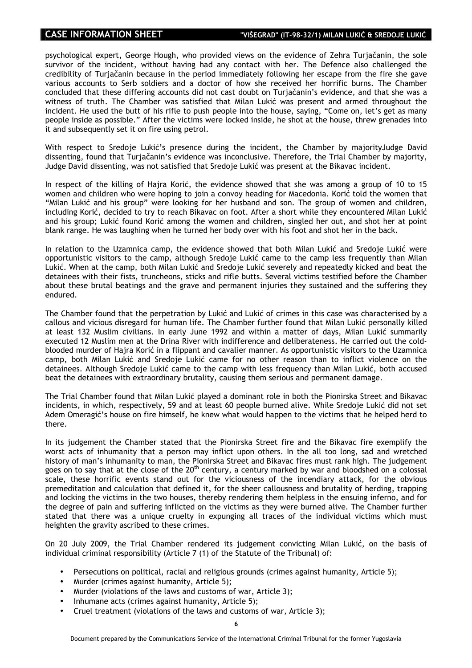psychological expert, George Hough, who provided views on the evidence of Zehra Turjačanin, the sole survivor of the incident, without having had any contact with her. The Defence also challenged the credibility of Turjačanin because in the period immediately following her escape from the fire she gave various accounts to Serb soldiers and a doctor of how she received her horrific burns. The Chamber concluded that these differing accounts did not cast doubt on Turjačanin's evidence, and that she was a witness of truth. The Chamber was satisfied that Milan Lukić was present and armed throughout the incident. He used the butt of his rifle to push people into the house, saying, "Come on, let's get as many people inside as possible." After the victims were locked inside, he shot at the house, threw grenades into it and subsequently set it on fire using petrol.

With respect to Sredoje Lukić's presence during the incident, the Chamber by majorityJudge David dissenting, found that Turjačanin's evidence was inconclusive. Therefore, the Trial Chamber by majority, Judge David dissenting, was not satisfied that Sredoje Lukić was present at the Bikavac incident.

In respect of the killing of Hajra Korić, the evidence showed that she was among a group of 10 to 15 women and children who were hoping to join a convoy heading for Macedonia. Korić told the women that "Milan Lukić and his group" were looking for her husband and son. The group of women and children, including Korić, decided to try to reach Bikavac on foot. After a short while they encountered Milan Lukić and his group; Lukić found Korić among the women and children, singled her out, and shot her at point blank range. He was laughing when he turned her body over with his foot and shot her in the back.

In relation to the Uzamnica camp, the evidence showed that both Milan Lukić and Sredoje Lukić were opportunistic visitors to the camp, although Sredoje Lukić came to the camp less frequently than Milan Lukić. When at the camp, both Milan Lukić and Sredoje Lukić severely and repeatedly kicked and beat the detainees with their fists, truncheons, sticks and rifle butts. Several victims testified before the Chamber about these brutal beatings and the grave and permanent injuries they sustained and the suffering they endured.

The Chamber found that the perpetration by Lukić and Lukić of crimes in this case was characterised by a callous and vicious disregard for human life. The Chamber further found that Milan Lukić personally killed at least 132 Muslim civilians. In early June 1992 and within a matter of days, Milan Lukić summarily executed 12 Muslim men at the Drina River with indifference and deliberateness. He carried out the coldblooded murder of Hajra Korić in a flippant and cavalier manner. As opportunistic visitors to the Uzamnica camp, both Milan Lukić and Sredoje Lukić came for no other reason than to inflict violence on the detainees. Although Sredoje Lukić came to the camp with less frequency than Milan Lukić, both accused beat the detainees with extraordinary brutality, causing them serious and permanent damage.

The Trial Chamber found that Milan Lukić played a dominant role in both the Pionirska Street and Bikavac incidents, in which, respectively, 59 and at least 60 people burned alive. While Sredoje Lukić did not set Adem Omeragić's house on fire himself, he knew what would happen to the victims that he helped herd to there.

In its judgement the Chamber stated that the Pionirska Street fire and the Bikavac fire exemplify the worst acts of inhumanity that a person may inflict upon others. In the all too long, sad and wretched history of man's inhumanity to man, the Pionirska Street and Bikavac fires must rank high. The judgement goes on to say that at the close of the 20<sup>th</sup> century, a century marked by war and bloodshed on a colossal scale, these horrific events stand out for the viciousness of the incendiary attack, for the obvious premeditation and calculation that defined it, for the sheer callousness and brutality of herding, trapping and locking the victims in the two houses, thereby rendering them helpless in the ensuing inferno, and for the degree of pain and suffering inflicted on the victims as they were burned alive. The Chamber further stated that there was a unique cruelty in expunging all traces of the individual victims which must heighten the gravity ascribed to these crimes.

On 20 July 2009, the Trial Chamber rendered its judgement convicting Milan Lukić, on the basis of individual criminal responsibility (Article 7 (1) of the Statute of the Tribunal) of:

- Persecutions on political, racial and religious grounds (crimes against humanity, Article 5);
- Murder (crimes against humanity, Article 5);
- Murder (violations of the laws and customs of war, Article 3);
- Inhumane acts (crimes against humanity, Article 5);
- Cruel treatment (violations of the laws and customs of war, Article 3);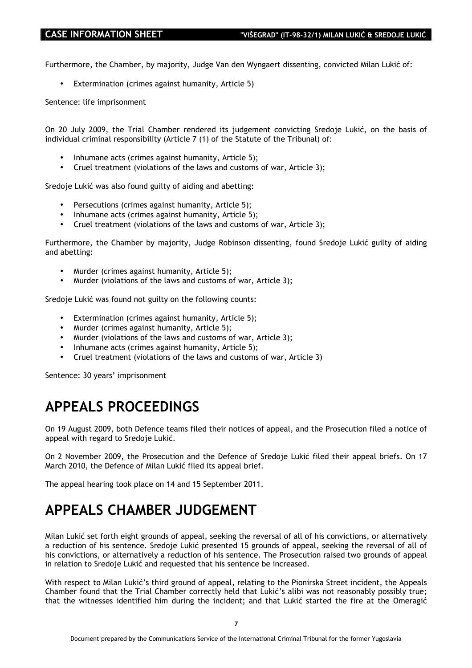Furthermore, the Chamber, by majority, Judge Van den Wyngaert dissenting, convicted Milan Lukić of:

• Extermination (crimes against humanity, Article 5)

Sentence: life imprisonment

On 20 July 2009, the Trial Chamber rendered its judgement convicting Sredoje Lukić, on the basis of individual criminal responsibility (Article 7 (1) of the Statute of the Tribunal) of:

- Inhumane acts (crimes against humanity, Article 5);
- Cruel treatment (violations of the laws and customs of war, Article 3);

Sredoje Lukić was also found guilty of aiding and abetting:

- Persecutions (crimes against humanity, Article 5);
- Inhumane acts (crimes against humanity, Article 5);
- Cruel treatment (violations of the laws and customs of war, Article 3);

Furthermore, the Chamber by majority, Judge Robinson dissenting, found Sredoje Lukić guilty of aiding and abetting:

- Murder (crimes against humanity, Article 5);
- Murder (violations of the laws and customs of war, Article 3);

Sredoje Lukić was found not guilty on the following counts:

- Extermination (crimes against humanity, Article 5);
- Murder (crimes against humanity, Article 5);
- Murder (violations of the laws and customs of war, Article 3);
- Inhumane acts (crimes against humanity, Article 5);
- Cruel treatment (violations of the laws and customs of war, Article 3)

Sentence: 30 years' imprisonment

### **APPEALS PROCEEDINGS**

On 19 August 2009, both Defence teams filed their notices of appeal, and the Prosecution filed a notice of appeal with regard to Sredoje Lukić.

On 2 November 2009, the Prosecution and the Defence of Sredoje Lukić filed their appeal briefs. On 17 March 2010, the Defence of Milan Lukić filed its appeal brief.

The appeal hearing took place on 14 and 15 September 2011.

## **APPEALS CHAMBER JUDGEMENT**

Milan Lukić set forth eight grounds of appeal, seeking the reversal of all of his convictions, or alternatively a reduction of his sentence. Sredoje Lukić presented 15 grounds of appeal, seeking the reversal of all of his convictions, or alternatively a reduction of his sentence. The Prosecution raised two grounds of appeal in relation to Sredoje Lukić and requested that his sentence be increased.

With respect to Milan Lukić's third ground of appeal, relating to the Pionirska Street incident, the Appeals Chamber found that the Trial Chamber correctly held that Lukić's alibi was not reasonably possibly true; that the witnesses identified him during the incident; and that Lukić started the fire at the Omeragić